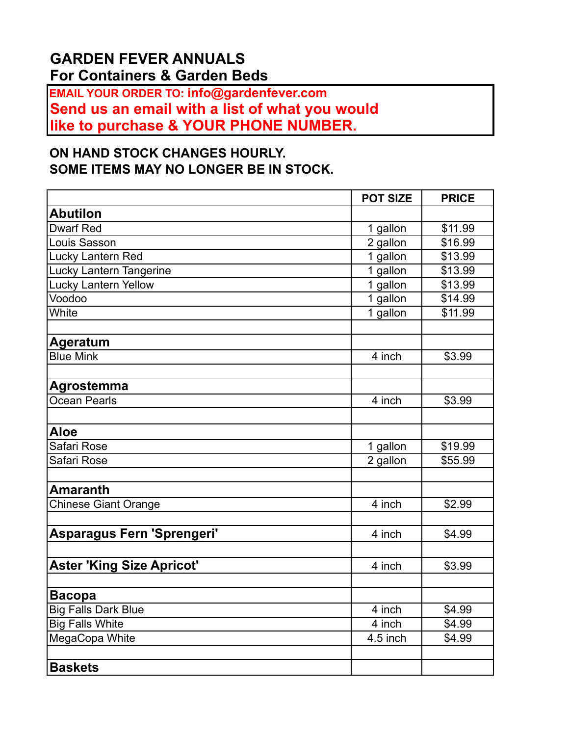## **GARDEN FEVER ANNUALS For Containers & Garden Beds**

**EMAIL YOUR ORDER TO: info@gardenfever.com Send us an email with a list of what you would like to purchase & YOUR PHONE NUMBER.** 

## **ON HAND STOCK CHANGES HOURLY. SOME ITEMS MAY NO LONGER BE IN STOCK.**

|                                  | <b>POT SIZE</b>       | <b>PRICE</b>       |
|----------------------------------|-----------------------|--------------------|
| <b>Abutilon</b>                  |                       |                    |
| <b>Dwarf Red</b>                 | 1 gallon              | \$11.99            |
| Louis Sasson                     | $\overline{2}$ gallon | $\frac{1}{16.99}$  |
| Lucky Lantern Red                | 1 gallon              | \$13.99            |
| Lucky Lantern Tangerine          | 1 gallon              | \$13.99            |
| <b>Lucky Lantern Yellow</b>      | 1 gallon              | \$13.99            |
| Voodoo                           | 1 gallon              | \$14.99            |
| White                            | 1 gallon              | \$11.99            |
| <b>Ageratum</b>                  |                       |                    |
| <b>Blue Mink</b>                 | 4 inch                | \$3.99             |
| Agrostemma                       |                       |                    |
| Ocean Pearls                     | 4 inch                | \$3.99             |
|                                  |                       |                    |
| <b>Aloe</b>                      |                       |                    |
| Safari Rose                      | 1 gallon              | \$19.99            |
| Safari Rose                      | 2 gallon              | \$55.99            |
| <b>Amaranth</b>                  |                       |                    |
| Chinese Giant Orange             | 4 inch                | \$2.99             |
|                                  |                       |                    |
| Asparagus Fern 'Sprengeri'       | 4 inch                | \$4.99             |
| <b>Aster 'King Size Apricot'</b> | 4 inch                | \$3.99             |
|                                  |                       |                    |
| <b>Bacopa</b>                    |                       |                    |
| <b>Big Falls Dark Blue</b>       | 4 inch                | \$4.99             |
| <b>Big Falls White</b>           | 4 inch                | \$4.99             |
| MegaCopa White                   | 4.5 inch              | $\overline{$4.99}$ |
|                                  |                       |                    |
| <b>Baskets</b>                   |                       |                    |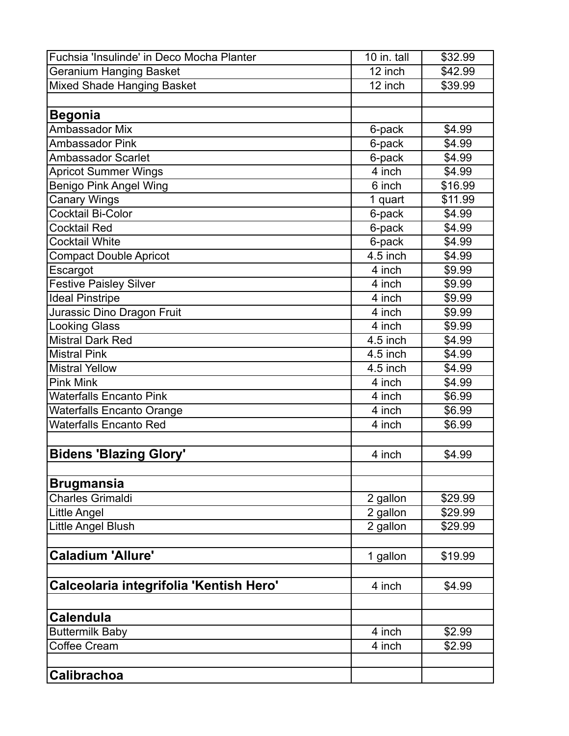| Fuchsia 'Insulinde' in Deco Mocha Planter | 10 in. tall          | \$32.99 |
|-------------------------------------------|----------------------|---------|
| <b>Geranium Hanging Basket</b>            | $\overline{12}$ inch | \$42.99 |
| <b>Mixed Shade Hanging Basket</b>         | 12 inch              | \$39.99 |
|                                           |                      |         |
| <b>Begonia</b>                            |                      |         |
| Ambassador Mix                            | 6-pack               | \$4.99  |
| <b>Ambassador Pink</b>                    | 6-pack               | \$4.99  |
| <b>Ambassador Scarlet</b>                 | 6-pack               | \$4.99  |
| <b>Apricot Summer Wings</b>               | 4 inch               | \$4.99  |
| <b>Benigo Pink Angel Wing</b>             | 6 inch               | \$16.99 |
| <b>Canary Wings</b>                       | 1 quart              | \$11.99 |
| <b>Cocktail Bi-Color</b>                  | 6-pack               | \$4.99  |
| <b>Cocktail Red</b>                       | 6-pack               | \$4.99  |
| <b>Cocktail White</b>                     | 6-pack               | \$4.99  |
| <b>Compact Double Apricot</b>             | 4.5 inch             | \$4.99  |
| Escargot                                  | 4 inch               | \$9.99  |
| <b>Festive Paisley Silver</b>             | 4 inch               | \$9.99  |
| <b>Ideal Pinstripe</b>                    | 4 inch               | \$9.99  |
| Jurassic Dino Dragon Fruit                | 4 inch               | \$9.99  |
| <b>Looking Glass</b>                      | 4 inch               | \$9.99  |
| <b>Mistral Dark Red</b>                   | 4.5 inch             | \$4.99  |
| <b>Mistral Pink</b>                       | 4.5 inch             | \$4.99  |
| <b>Mistral Yellow</b>                     | 4.5 inch             | \$4.99  |
| <b>Pink Mink</b>                          | 4 inch               | \$4.99  |
| <b>Waterfalls Encanto Pink</b>            | 4 inch               | \$6.99  |
| <b>Waterfalls Encanto Orange</b>          | 4 inch               | \$6.99  |
| <b>Waterfalls Encanto Red</b>             | 4 inch               | \$6.99  |
|                                           |                      |         |
| <b>Bidens 'Blazing Glory'</b>             | 4 inch               | \$4.99  |
|                                           |                      |         |
| <b>Brugmansia</b>                         |                      |         |
| <b>Charles Grimaldi</b>                   | 2 gallon             | \$29.99 |
| Little Angel                              | 2 gallon             | \$29.99 |
| Little Angel Blush                        | 2 gallon             | \$29.99 |
|                                           |                      |         |
| <b>Caladium 'Allure'</b>                  | 1 gallon             | \$19.99 |
|                                           |                      |         |
| Calceolaria integrifolia 'Kentish Hero'   | 4 inch               | \$4.99  |
|                                           |                      |         |
| <b>Calendula</b>                          |                      |         |
| <b>Buttermilk Baby</b>                    | 4 inch               | \$2.99  |
| <b>Coffee Cream</b>                       | 4 inch               | \$2.99  |
|                                           |                      |         |
| <b>Calibrachoa</b>                        |                      |         |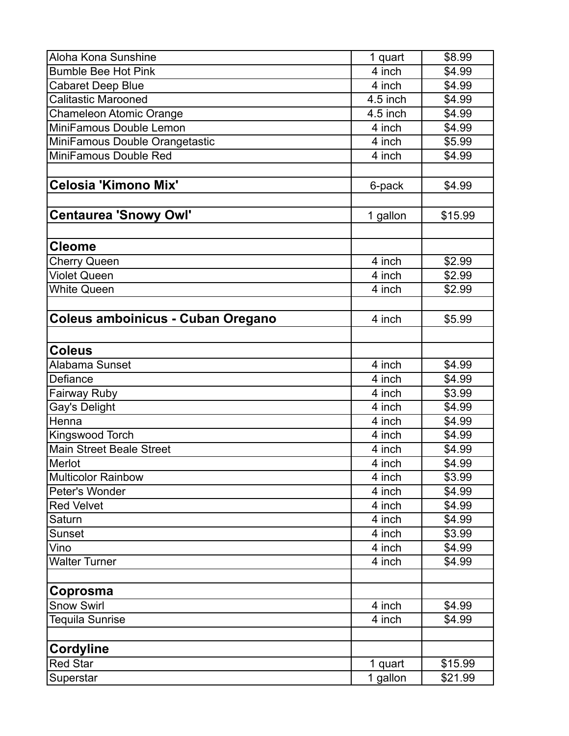| Aloha Kona Sunshine               | 1 quart  | \$8.99  |
|-----------------------------------|----------|---------|
| <b>Bumble Bee Hot Pink</b>        | 4 inch   | \$4.99  |
| <b>Cabaret Deep Blue</b>          | 4 inch   | \$4.99  |
| <b>Calitastic Marooned</b>        | 4.5 inch | \$4.99  |
| <b>Chameleon Atomic Orange</b>    | 4.5 inch | \$4.99  |
| MiniFamous Double Lemon           | 4 inch   | \$4.99  |
| MiniFamous Double Orangetastic    | 4 inch   | \$5.99  |
| MiniFamous Double Red             | 4 inch   | \$4.99  |
|                                   |          |         |
| <b>Celosia 'Kimono Mix'</b>       | 6-pack   | \$4.99  |
|                                   |          |         |
| <b>Centaurea 'Snowy Owl'</b>      | 1 gallon | \$15.99 |
|                                   |          |         |
| <b>Cleome</b>                     |          |         |
| <b>Cherry Queen</b>               | 4 inch   | \$2.99  |
| <b>Violet Queen</b>               | 4 inch   | \$2.99  |
| <b>White Queen</b>                | 4 inch   | \$2.99  |
|                                   |          |         |
| Coleus amboinicus - Cuban Oregano | 4 inch   | \$5.99  |
|                                   |          |         |
| <b>Coleus</b>                     |          |         |
| Alabama Sunset                    | 4 inch   | \$4.99  |
| Defiance                          | 4 inch   | \$4.99  |
| <b>Fairway Ruby</b>               | 4 inch   | \$3.99  |
| Gay's Delight                     | 4 inch   | \$4.99  |
| Henna                             | 4 inch   | \$4.99  |
| Kingswood Torch                   | 4 inch   | \$4.99  |
| <b>Main Street Beale Street</b>   | 4 inch   | \$4.99  |
| Merlot                            | 4 inch   | \$4.99  |
| Multicolor Rainbow                | 4 inch   | \$3.99  |
| Peter's Wonder                    | 4 inch   | \$4.99  |
| <b>Red Velvet</b>                 | 4 inch   | \$4.99  |
| Saturn                            | 4 inch   | \$4.99  |
| Sunset                            | 4 inch   | \$3.99  |
| Vino                              | 4 inch   | \$4.99  |
| <b>Walter Turner</b>              | 4 inch   | \$4.99  |
|                                   |          |         |
| Coprosma                          |          |         |
| <b>Snow Swirl</b>                 | 4 inch   | \$4.99  |
| <b>Tequila Sunrise</b>            | 4 inch   | \$4.99  |
|                                   |          |         |
| <b>Cordyline</b>                  |          |         |
| <b>Red Star</b>                   | 1 quart  | \$15.99 |
| Superstar                         | 1 gallon | \$21.99 |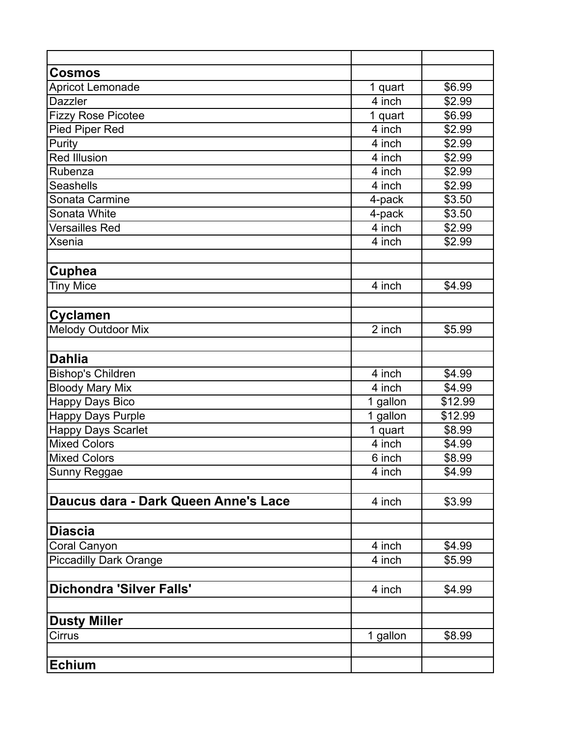| <b>Cosmos</b>                        |          |                |
|--------------------------------------|----------|----------------|
| Apricot Lemonade                     | 1 quart  | \$6.99         |
| <b>Dazzler</b>                       | 4 inch   | \$2.99         |
| <b>Fizzy Rose Picotee</b>            | 1 quart  | \$6.99         |
| <b>Pied Piper Red</b>                | 4 inch   | \$2.99         |
| Purity                               | 4 inch   | \$2.99         |
| Red Illusion                         | 4 inch   | \$2.99         |
| Rubenza                              | 4 inch   | \$2.99         |
| <b>Seashells</b>                     | 4 inch   | \$2.99         |
| Sonata Carmine                       | 4-pack   | \$3.50         |
| Sonata White                         | 4-pack   | \$3.50         |
| <b>Versailles Red</b>                | 4 inch   | $\sqrt{$2.99}$ |
| <b>Xsenia</b>                        | 4 inch   | \$2.99         |
|                                      |          |                |
| <b>Cuphea</b>                        |          |                |
| <b>Tiny Mice</b>                     | 4 inch   | \$4.99         |
|                                      |          |                |
| <b>Cyclamen</b>                      |          |                |
| <b>Melody Outdoor Mix</b>            | 2 inch   | \$5.99         |
|                                      |          |                |
| <b>Dahlia</b>                        |          |                |
| <b>Bishop's Children</b>             | 4 inch   | \$4.99         |
| <b>Bloody Mary Mix</b>               | 4 inch   | \$4.99         |
| <b>Happy Days Bico</b>               | 1 gallon | \$12.99        |
| <b>Happy Days Purple</b>             | 1 gallon | \$12.99        |
| <b>Happy Days Scarlet</b>            | 1 quart  | \$8.99         |
| <b>Mixed Colors</b>                  | 4 inch   | \$4.99         |
| <b>Mixed Colors</b>                  | 6 inch   | \$8.99         |
| Sunny Reggae                         | 4 inch   | \$4.99         |
|                                      |          |                |
| Daucus dara - Dark Queen Anne's Lace | 4 inch   | \$3.99         |
|                                      |          |                |
| <b>Diascia</b>                       |          |                |
| Coral Canyon                         | 4 inch   | \$4.99         |
| <b>Piccadilly Dark Orange</b>        | 4 inch   | \$5.99         |
|                                      |          |                |
| <b>Dichondra 'Silver Falls'</b>      | 4 inch   | \$4.99         |
|                                      |          |                |
| <b>Dusty Miller</b>                  |          |                |
| Cirrus                               | 1 gallon | \$8.99         |
|                                      |          |                |
|                                      |          |                |
| <b>Echium</b>                        |          |                |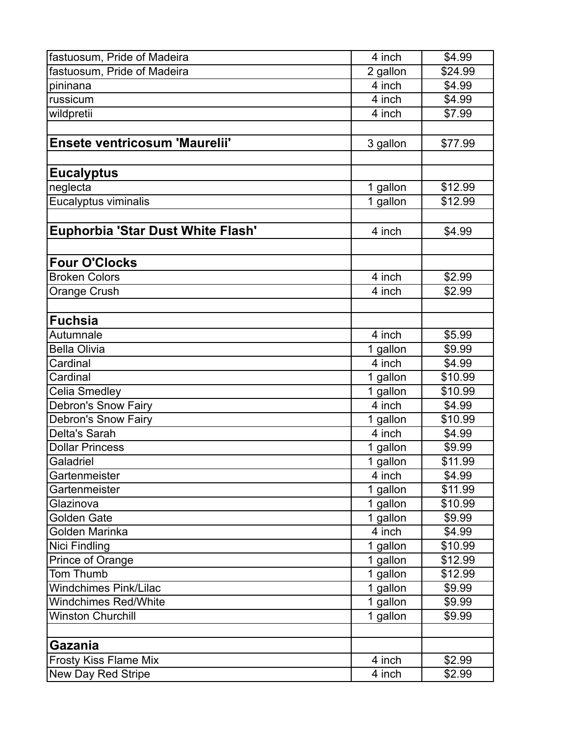| fastuosum, Pride of Madeira       | 4 inch              | \$4.99  |
|-----------------------------------|---------------------|---------|
| fastuosum, Pride of Madeira       | 2 gallon            | \$24.99 |
| pininana                          | 4 inch              | \$4.99  |
| russicum                          | 4 inch              | \$4.99  |
| wildpretii                        | 4 inch              | \$7.99  |
|                                   |                     |         |
| Ensete ventricosum 'Maurelii'     | 3 gallon            | \$77.99 |
|                                   |                     |         |
| <b>Eucalyptus</b>                 |                     |         |
| neglecta                          | 1 gallon            | \$12.99 |
| Eucalyptus viminalis              | 1 gallon            | \$12.99 |
|                                   |                     |         |
| Euphorbia 'Star Dust White Flash' | 4 inch              | \$4.99  |
|                                   |                     |         |
| <b>Four O'Clocks</b>              |                     |         |
| <b>Broken Colors</b>              | 4 inch              | \$2.99  |
| Orange Crush                      | 4 inch              | \$2.99  |
|                                   |                     |         |
| <b>Fuchsia</b>                    |                     |         |
| Autumnale                         | 4 inch              | \$5.99  |
| <b>Bella Olivia</b>               | 1 gallon            | \$9.99  |
| Cardinal                          | $\overline{4}$ inch | \$4.99  |
| Cardinal                          | 1 gallon            | \$10.99 |
| Celia Smedley                     | 1 gallon            | \$10.99 |
| <b>Debron's Snow Fairy</b>        | 4 inch              | \$4.99  |
| <b>Debron's Snow Fairy</b>        | 1 gallon            | \$10.99 |
| Delta's Sarah                     | 4 inch              | \$4.99  |
| <b>Dollar Princess</b>            | 1 gallon            | \$9.99  |
| Galadriel                         | 1 gallon            | \$11.99 |
| Gartenmeister                     | 4 inch              | \$4.99  |
| Gartenmeister                     | 1 gallon            | \$11.99 |
| Glazinova                         | 1 gallon            | \$10.99 |
| Golden Gate                       | 1 gallon            | \$9.99  |
| Golden Marinka                    | 4 inch              | \$4.99  |
| Nici Findling                     | 1 gallon            | \$10.99 |
| Prince of Orange                  | 1 gallon            | \$12.99 |
| Tom Thumb                         | 1 gallon            | \$12.99 |
| <b>Windchimes Pink/Lilac</b>      | 1 gallon            | \$9.99  |
| <b>Windchimes Red/White</b>       | 1 gallon            | \$9.99  |
| <b>Winston Churchill</b>          | 1 gallon            | \$9.99  |
|                                   |                     |         |
| <b>Gazania</b>                    |                     |         |
| <b>Frosty Kiss Flame Mix</b>      | 4 inch              | \$2.99  |
| <b>New Day Red Stripe</b>         | 4 inch              | \$2.99  |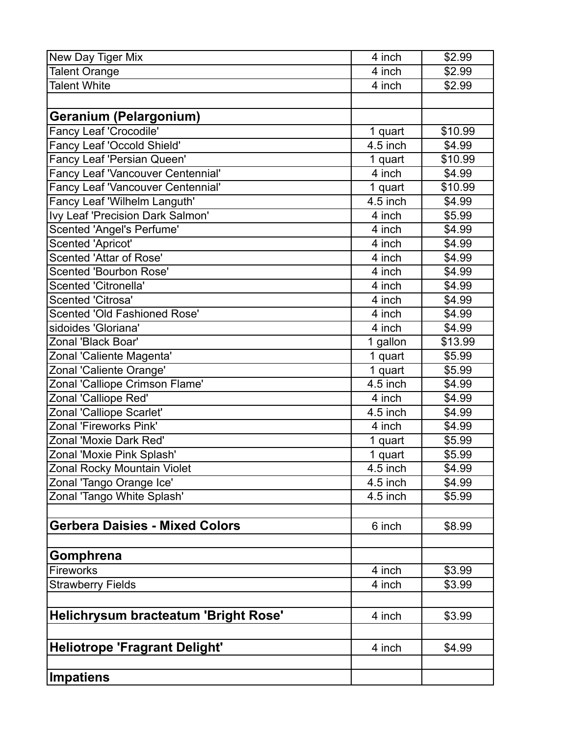| New Day Tiger Mix                        | 4 inch     | \$2.99  |
|------------------------------------------|------------|---------|
| <b>Talent Orange</b>                     | 4 inch     | \$2.99  |
| <b>Talent White</b>                      | 4 inch     | \$2.99  |
|                                          |            |         |
| Geranium (Pelargonium)                   |            |         |
| Fancy Leaf 'Crocodile'                   | 1 quart    | \$10.99 |
| Fancy Leaf 'Occold Shield'               | $4.5$ inch | \$4.99  |
| Fancy Leaf 'Persian Queen'               | 1 quart    | \$10.99 |
| Fancy Leaf 'Vancouver Centennial'        | 4 inch     | \$4.99  |
| <b>Fancy Leaf 'Vancouver Centennial'</b> | 1 quart    | \$10.99 |
| Fancy Leaf 'Wilhelm Languth'             | 4.5 inch   | \$4.99  |
| Ivy Leaf 'Precision Dark Salmon'         | 4 inch     | \$5.99  |
| <b>Scented 'Angel's Perfume'</b>         | 4 inch     | \$4.99  |
| Scented 'Apricot'                        | 4 inch     | \$4.99  |
| Scented 'Attar of Rose'                  | 4 inch     | \$4.99  |
| <b>Scented 'Bourbon Rose'</b>            | 4 inch     | \$4.99  |
| <b>Scented 'Citronella'</b>              | 4 inch     | \$4.99  |
| <b>Scented 'Citrosa'</b>                 | 4 inch     | \$4.99  |
| Scented 'Old Fashioned Rose'             | 4 inch     | \$4.99  |
| sidoides 'Gloriana'                      | 4 inch     | \$4.99  |
| Zonal 'Black Boar'                       | 1 gallon   | \$13.99 |
| Zonal 'Caliente Magenta'                 | 1 quart    | \$5.99  |
| Zonal 'Caliente Orange'                  | 1 quart    | \$5.99  |
| Zonal 'Calliope Crimson Flame'           | 4.5 inch   | \$4.99  |
| Zonal 'Calliope Red'                     | 4 inch     | \$4.99  |
| Zonal 'Calliope Scarlet'                 | 4.5 inch   | \$4.99  |
| Zonal 'Fireworks Pink'                   | 4 inch     | \$4.99  |
| Zonal 'Moxie Dark Red'                   | 1 quart    | \$5.99  |
| Zonal 'Moxie Pink Splash'                | 1 quart    | \$5.99  |
| Zonal Rocky Mountain Violet              | $4.5$ inch | \$4.99  |
| Zonal 'Tango Orange Ice'                 | 4.5 inch   | \$4.99  |
| Zonal 'Tango White Splash'               | 4.5 inch   | \$5.99  |
|                                          |            |         |
| <b>Gerbera Daisies - Mixed Colors</b>    | 6 inch     | \$8.99  |
|                                          |            |         |
| Gomphrena                                |            |         |
| <b>Fireworks</b>                         | 4 inch     | \$3.99  |
| <b>Strawberry Fields</b>                 | 4 inch     | \$3.99  |
|                                          |            |         |
| Helichrysum bracteatum 'Bright Rose'     | 4 inch     | \$3.99  |
|                                          |            |         |
| <b>Heliotrope 'Fragrant Delight'</b>     | 4 inch     | \$4.99  |
| Impatiens                                |            |         |
|                                          |            |         |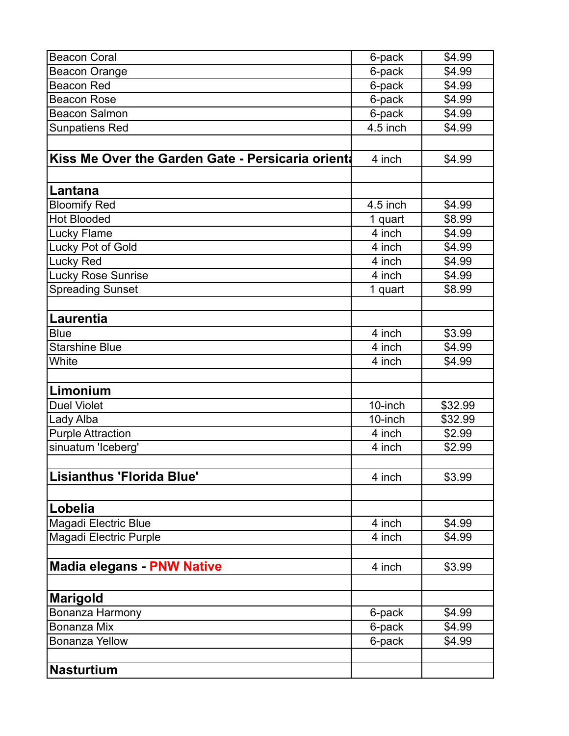| <b>Beacon Coral</b>                              | 6-pack   | \$4.99  |
|--------------------------------------------------|----------|---------|
| <b>Beacon Orange</b>                             | 6-pack   | \$4.99  |
| <b>Beacon Red</b>                                | 6-pack   | \$4.99  |
| <b>Beacon Rose</b>                               | 6-pack   | \$4.99  |
| <b>Beacon Salmon</b>                             | 6-pack   | \$4.99  |
| <b>Sunpatiens Red</b>                            | 4.5 inch | \$4.99  |
|                                                  |          |         |
| Kiss Me Over the Garden Gate - Persicaria orient | 4 inch   | \$4.99  |
|                                                  |          |         |
| Lantana                                          |          |         |
| <b>Bloomify Red</b>                              | 4.5 inch | \$4.99  |
| <b>Hot Blooded</b>                               | 1 quart  | \$8.99  |
| Lucky Flame                                      | 4 inch   | \$4.99  |
| Lucky Pot of Gold                                | 4 inch   | \$4.99  |
| Lucky Red                                        | 4 inch   | \$4.99  |
| <b>Lucky Rose Sunrise</b>                        | 4 inch   | \$4.99  |
| <b>Spreading Sunset</b>                          | 1 quart  | \$8.99  |
|                                                  |          |         |
| Laurentia                                        |          |         |
| <b>Blue</b>                                      | 4 inch   | \$3.99  |
| <b>Starshine Blue</b>                            | 4 inch   | \$4.99  |
| White                                            | 4 inch   | \$4.99  |
|                                                  |          |         |
| Limonium                                         |          |         |
| <b>Duel Violet</b>                               | 10-inch  | \$32.99 |
| Lady Alba                                        | 10-inch  | \$32.99 |
| <b>Purple Attraction</b>                         | 4 inch   | \$2.99  |
| sinuatum 'Iceberg'                               | 4 inch   | \$2.99  |
|                                                  |          |         |
| Lisianthus 'Florida Blue'                        | 4 inch   | \$3.99  |
|                                                  |          |         |
| Lobelia                                          |          |         |
| Magadi Electric Blue                             | 4 inch   | \$4.99  |
| Magadi Electric Purple                           | 4 inch   | \$4.99  |
|                                                  |          |         |
| <b>Madia elegans - PNW Native</b>                | 4 inch   | \$3.99  |
|                                                  |          |         |
| <b>Marigold</b>                                  |          |         |
| Bonanza Harmony                                  | 6-pack   | \$4.99  |
| Bonanza Mix                                      | 6-pack   | \$4.99  |
| <b>Bonanza Yellow</b>                            | 6-pack   | \$4.99  |
|                                                  |          |         |
| <b>Nasturtium</b>                                |          |         |
|                                                  |          |         |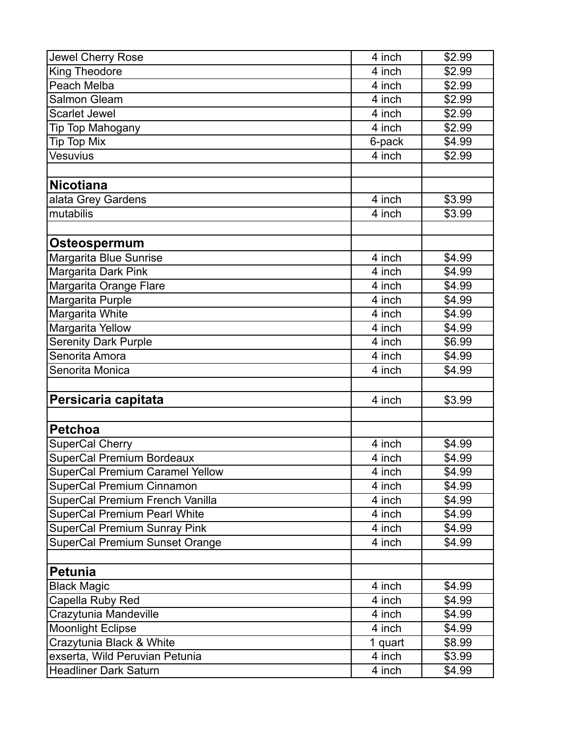| Jewel Cherry Rose                      | 4 inch  | \$2.99 |
|----------------------------------------|---------|--------|
| King Theodore                          | 4 inch  | \$2.99 |
| Peach Melba                            | 4 inch  | \$2.99 |
| Salmon Gleam                           | 4 inch  | \$2.99 |
| <b>Scarlet Jewel</b>                   | 4 inch  | \$2.99 |
| Tip Top Mahogany                       | 4 inch  | \$2.99 |
| Tip Top Mix                            | 6-pack  | \$4.99 |
| Vesuvius                               | 4 inch  | \$2.99 |
|                                        |         |        |
| <b>Nicotiana</b>                       |         |        |
| alata Grey Gardens                     | 4 inch  | \$3.99 |
| mutabilis                              | 4 inch  | \$3.99 |
|                                        |         |        |
| Osteospermum                           |         |        |
| Margarita Blue Sunrise                 | 4 inch  | \$4.99 |
| Margarita Dark Pink                    | 4 inch  | \$4.99 |
| Margarita Orange Flare                 | 4 inch  | \$4.99 |
| Margarita Purple                       | 4 inch  | \$4.99 |
| Margarita White                        | 4 inch  | \$4.99 |
| Margarita Yellow                       | 4 inch  | \$4.99 |
| <b>Serenity Dark Purple</b>            | 4 inch  | \$6.99 |
| Senorita Amora                         | 4 inch  | \$4.99 |
| Senorita Monica                        | 4 inch  | \$4.99 |
|                                        |         |        |
| Persicaria capitata                    | 4 inch  | \$3.99 |
|                                        |         |        |
| <b>Petchoa</b>                         |         |        |
| SuperCal Cherry                        | 4 inch  | \$4.99 |
| <b>SuperCal Premium Bordeaux</b>       | 4 inch  | \$4.99 |
| <b>SuperCal Premium Caramel Yellow</b> | 4 inch  | \$4.99 |
| SuperCal Premium Cinnamon              | 4 inch  | \$4.99 |
| SuperCal Premium French Vanilla        | 4 inch  | \$4.99 |
| <b>SuperCal Premium Pearl White</b>    | 4 inch  | \$4.99 |
| <b>SuperCal Premium Sunray Pink</b>    | 4 inch  | \$4.99 |
| <b>SuperCal Premium Sunset Orange</b>  | 4 inch  | \$4.99 |
|                                        |         |        |
| Petunia                                |         |        |
| <b>Black Magic</b>                     | 4 inch  | \$4.99 |
| Capella Ruby Red                       | 4 inch  | \$4.99 |
| Crazytunia Mandeville                  | 4 inch  | \$4.99 |
| <b>Moonlight Eclipse</b>               | 4 inch  | \$4.99 |
| Crazytunia Black & White               | 1 quart | \$8.99 |
| exserta, Wild Peruvian Petunia         | 4 inch  | \$3.99 |
| <b>Headliner Dark Saturn</b>           | 4 inch  | \$4.99 |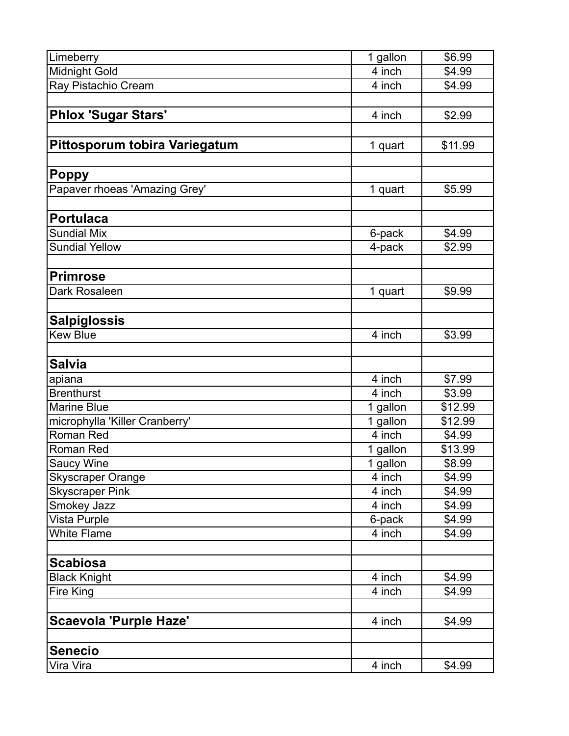| Limeberry                      | 1 gallon            | \$6.99  |
|--------------------------------|---------------------|---------|
| <b>Midnight Gold</b>           | $\overline{4}$ inch | \$4.99  |
| Ray Pistachio Cream            | 4 inch              | \$4.99  |
|                                |                     |         |
| <b>Phlox 'Sugar Stars'</b>     | 4 inch              | \$2.99  |
|                                |                     |         |
| Pittosporum tobira Variegatum  | 1 quart             | \$11.99 |
|                                |                     |         |
| <b>Poppy</b>                   |                     |         |
| Papaver rhoeas 'Amazing Grey'  | 1 quart             | \$5.99  |
|                                |                     |         |
| <b>Portulaca</b>               |                     |         |
| <b>Sundial Mix</b>             | 6-pack              | \$4.99  |
| <b>Sundial Yellow</b>          | 4-pack              | \$2.99  |
|                                |                     |         |
| <b>Primrose</b>                |                     |         |
| Dark Rosaleen                  | 1 quart             | \$9.99  |
|                                |                     |         |
| <b>Salpiglossis</b>            |                     |         |
| <b>Kew Blue</b>                | 4 inch              | \$3.99  |
|                                |                     |         |
| <b>Salvia</b>                  |                     |         |
| apiana                         | 4 inch              | \$7.99  |
| <b>Brenthurst</b>              | 4 inch              | \$3.99  |
| <b>Marine Blue</b>             | 1 gallon            | \$12.99 |
| microphylla 'Killer Cranberry' | 1 gallon            | \$12.99 |
| <b>Roman Red</b>               | 4 inch              | \$4.99  |
| Roman Red                      | 1 gallon            | \$13.99 |
| <b>Saucy Wine</b>              | 1 gallon            | \$8.99  |
| <b>Skyscraper Orange</b>       | 4 inch              | \$4.99  |
| <b>Skyscraper Pink</b>         | 4 inch              | \$4.99  |
| Smokey Jazz                    | 4 inch              | \$4.99  |
| Vista Purple                   | 6-pack              | \$4.99  |
| <b>White Flame</b>             | 4 inch              | \$4.99  |
|                                |                     |         |
| <b>Scabiosa</b>                |                     |         |
| <b>Black Knight</b>            | 4 inch              | \$4.99  |
| Fire King                      | 4 inch              | \$4.99  |
|                                |                     |         |
| <b>Scaevola 'Purple Haze'</b>  | 4 inch              | \$4.99  |
|                                |                     |         |
| <b>Senecio</b>                 |                     |         |
| Vira Vira                      | 4 inch              | \$4.99  |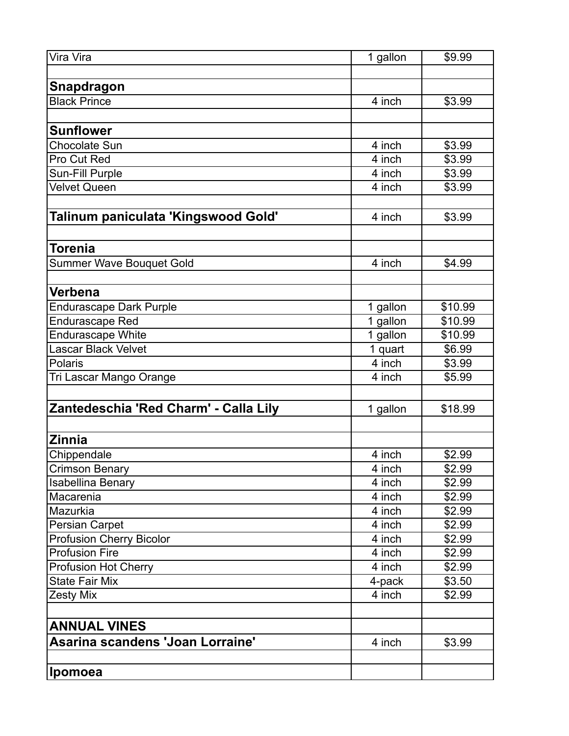| Vira Vira                             | 1 gallon | \$9.99  |
|---------------------------------------|----------|---------|
|                                       |          |         |
| Snapdragon                            |          |         |
| <b>Black Prince</b>                   | 4 inch   | \$3.99  |
|                                       |          |         |
| <b>Sunflower</b>                      |          |         |
| Chocolate Sun                         | 4 inch   | \$3.99  |
| Pro Cut Red                           | 4 inch   | \$3.99  |
| Sun-Fill Purple                       | 4 inch   | \$3.99  |
| <b>Velvet Queen</b>                   | 4 inch   | \$3.99  |
|                                       |          |         |
| Talinum paniculata 'Kingswood Gold'   | 4 inch   | \$3.99  |
|                                       |          |         |
| Torenia                               |          |         |
| Summer Wave Bouquet Gold              | 4 inch   | \$4.99  |
|                                       |          |         |
| Verbena                               |          |         |
| <b>Endurascape Dark Purple</b>        | 1 gallon | \$10.99 |
| <b>Endurascape Red</b>                | 1 gallon | \$10.99 |
| <b>Endurascape White</b>              | 1 gallon | \$10.99 |
| <b>Lascar Black Velvet</b>            | 1 quart  | \$6.99  |
| Polaris                               | 4 inch   | \$3.99  |
| Tri Lascar Mango Orange               | 4 inch   | \$5.99  |
|                                       |          |         |
| Zantedeschia 'Red Charm' - Calla Lily | 1 gallon | \$18.99 |
|                                       |          |         |
| <b>Zinnia</b>                         |          |         |
| Chippendale                           | 4 inch   | \$2.99  |
| <b>Crimson Benary</b>                 | 4 inch   | \$2.99  |
| <b>Isabellina Benary</b>              | 4 inch   | \$2.99  |
| Macarenia                             | 4 inch   | \$2.99  |
| Mazurkia                              | 4 inch   | \$2.99  |
| <b>Persian Carpet</b>                 | 4 inch   | \$2.99  |
| <b>Profusion Cherry Bicolor</b>       | 4 inch   | \$2.99  |
| <b>Profusion Fire</b>                 | 4 inch   | \$2.99  |
| <b>Profusion Hot Cherry</b>           | 4 inch   | \$2.99  |
| <b>State Fair Mix</b>                 | 4-pack   | \$3.50  |
| <b>Zesty Mix</b>                      | 4 inch   | \$2.99  |
|                                       |          |         |
| <b>ANNUAL VINES</b>                   |          |         |
| Asarina scandens 'Joan Lorraine'      | 4 inch   | \$3.99  |
|                                       |          |         |
| <b>Ipomoea</b>                        |          |         |
|                                       |          |         |